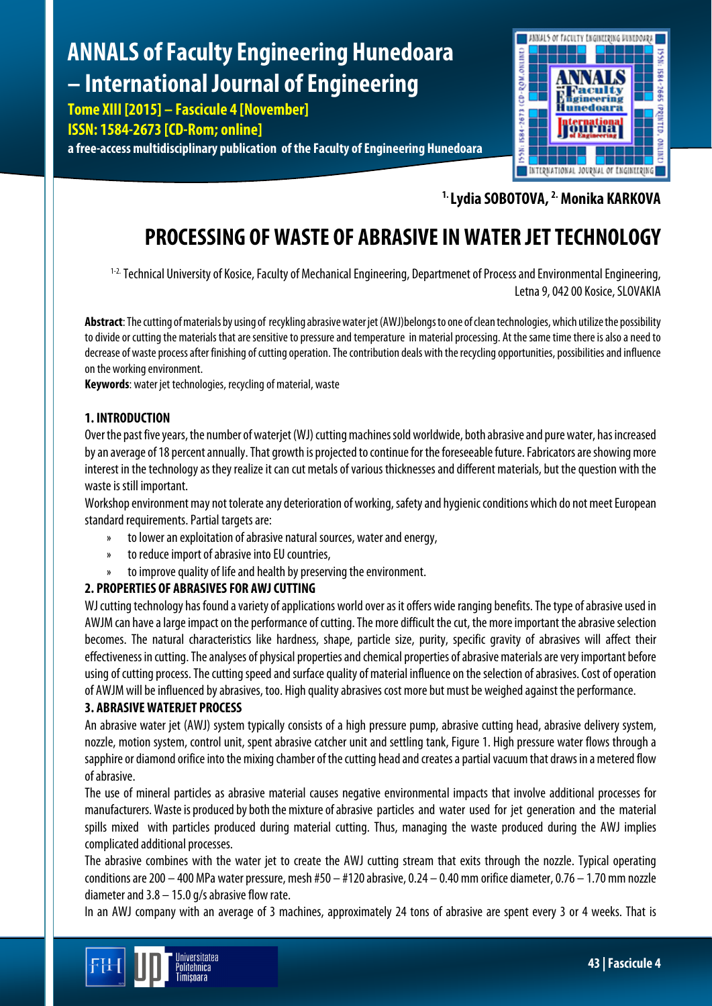# **ANNALS of Faculty Engineering Hunedoara – International Journal of Engineering**

**Tome XIII [2015] – Fascicule 4 [November]**

**ISSN: 1584-2673 [CD-Rom; online]**

**a free-access multidisciplinary publication of the Faculty of Engineering Hunedoara**



**1. Lydia SOBOTOVA, 2. Monika KARKOVA**

# **PROCESSING OF WASTE OF ABRASIVE IN WATER JET TECHNOLOGY**

<sup>1-2.</sup> Technical University of Kosice, Faculty of Mechanical Engineering, Departmenet of Process and Environmental Engineering, Letna 9, 042 00 Kosice, SLOVAKIA

**Abstract**: The cutting of materials by using of recykling abrasive water jet (AWJ)belongs to one of clean technologies, which utilize the possibility to divide or cutting the materials that are sensitive to pressure and temperature in material processing. At the same time there is also a need to decrease of waste process after finishing of cutting operation. The contribution deals with the recycling opportunities, possibilities and influence on the working environment.

**Keywords**: water jet technologies, recycling of material, waste

# **1. INTRODUCTION**

Over the past five years, the number of waterjet (WJ) cutting machines sold worldwide, both abrasive and pure water, has increased by an average of 18 percent annually. That growth is projected to continue for the foreseeable future. Fabricators are showing more interest in the technology as they realize it can cut metals of various thicknesses and different materials, but the question with the waste is still important.

Workshop environment may not tolerate any deterioration of working, safety and hygienicconditions which do not meet European standard requirements. Partial targets are:

- » to lower an exploitation of abrasive natural sources, water and energy,
- » to reduce import of abrasive into EU countries,
- » toimprove quality of life and health by preserving the environment.

# **2. PROPERTIES OF ABRASIVES FOR AWJ CUTTING**

WJ cutting technology has found a variety of applications world over as it offers wide ranging benefits. The type of abrasive used in AWJM can have a large impact on the performance of cutting. The more difficult the cut, the more important the abrasive selection becomes. The natural characteristics like hardness, shape, particle size, purity, specific gravity of abrasives will affect their effectiveness in cutting. The analyses of physical properties and chemical properties of abrasive materials are very important before using of cutting process. The cutting speed and surface quality of material influence on the selection of abrasives. Cost of operation of AWJM will be influenced by abrasives, too. High quality abrasives cost more but must be weighed against the performance.

## **3. ABRASIVE WATERJET PROCESS**

An abrasive water jet (AWJ) system typically consists of a high pressure pump, abrasive cutting head, abrasive delivery system, nozzle, motion system, control unit, spent abrasive catcher unit and settling tank, Figure 1. High pressure water flows through a sapphire or diamond orifice into the mixing chamber of the cutting head and creates a partial vacuum that draws in a metered flow of abrasive.

The use of mineral particles as abrasive material causes negative environmental impacts that involve additional processes for manufacturers. Waste is produced by both the mixture of abrasive particles and water used for jet generation and the material spills mixed with particles produced during material cutting. Thus, managing the waste produced during the AWJ implies complicated additional processes.

The abrasive combines with the water jet to create the AWJ cutting stream that exits through the nozzle. Typical operating conditions are 200 – 400 MPa water pressure, mesh #50 – #120 abrasive, 0.24 – 0.40 mm orifice diameter, 0.76 – 1.70 mm nozzle diameter and 3.8 – 15.0 g/s abrasive flow rate.

In an AWJ company with an average of 3 machines, approximately 24 tons of abrasive are spent every 3 or 4 weeks. That is

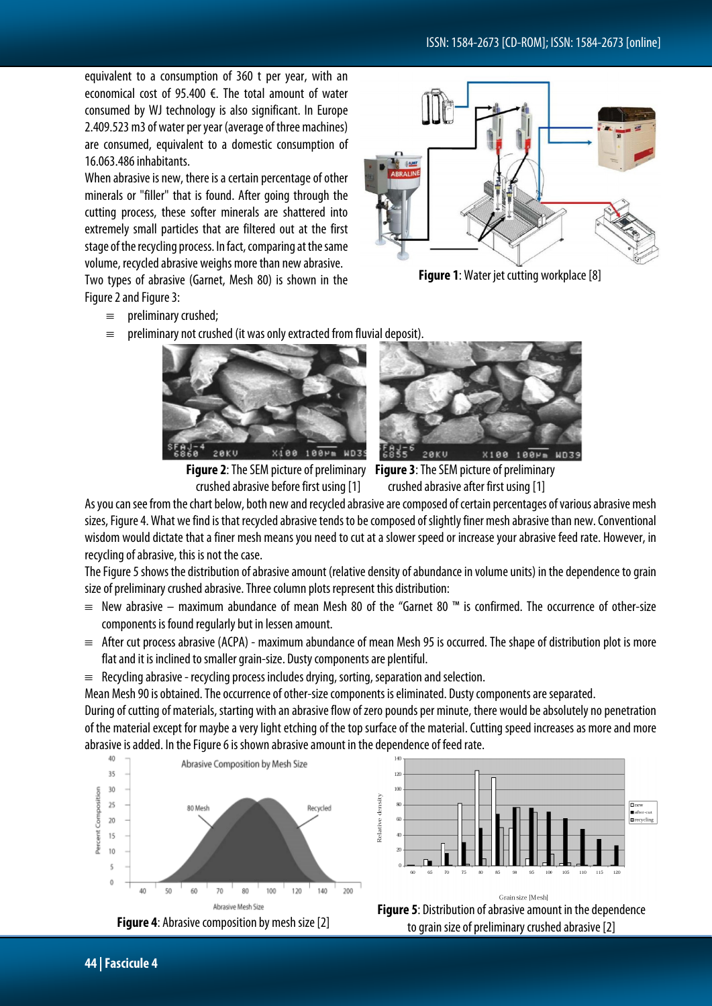equivalent to a consumption of 360 t per year, with an economical cost of 95.400 €. The total amount of water consumed by WJ technology is also significant. In Europe 2.409.523 m3 of water per year (average of three machines) are consumed, equivalent to a domestic consumption of 16.063.486 inhabitants.

When abrasive is new, there is a certain percentage of other minerals or "filler" that is found. After going through the cutting process, these softer minerals are shattered into extremely small particles that are filtered out at the first stage of the recycling process. In fact, comparing at the same volume, recycled abrasive weighs more than new abrasive.

Two types of abrasive (Garnet, Mesh 80) is shown in the Figure 2 and Figure 3:

- ≡ preliminary crushed;
- $\equiv$  preliminary not crushed (it was only extracted from fluvial deposit).







**Figure 2**: The SEM picture of preliminary **Figure 3**: The SEM picture of preliminary

As you can see from the chart below, both new and recycled abrasive are composed of certain percentages of various abrasive mesh sizes, Figure 4. What we find is that recycled abrasive tends to be composed of slightly finer mesh abrasive than new. Conventional wisdom would dictate that a finer mesh means you need to cut at a slower speed or increase your abrasive feed rate. However, in recycling of abrasive, this is not the case.

The Figure 5 shows the distribution of abrasive amount (relative density of abundance in volume units) in the dependence to grain size of preliminary crushed abrasive. Three column plots represent this distribution:

- ≡ New abrasive maximum abundance of mean Mesh 80 of the "Garnet 80 ™ is confirmed. The occurrence of other-size components is found regularly but in lessen amount.
- $\equiv$  After cut process abrasive (ACPA) maximum abundance of mean Mesh 95 is occurred. The shape of distribution plot is more flat and it is inclined to smaller grain-size. Dusty components are plentiful.
- $\equiv$  Recycling abrasive recycling process includes drying, sorting, separation and selection.

Mean Mesh 90 is obtained. The occurrence of other-size components is eliminated. Dusty components are separated.

During of cutting of materials, starting with an abrasive flow of zero pounds per minute, there would be absolutely no penetration of the material except for maybe a very light etching of the top surface of the material.Cutting speed increases as more and more abrasive is added. In the Figure 6 is shown abrasive amount in the dependence of feed rate.









**Figure 1:** Water jet cutting workplace [8]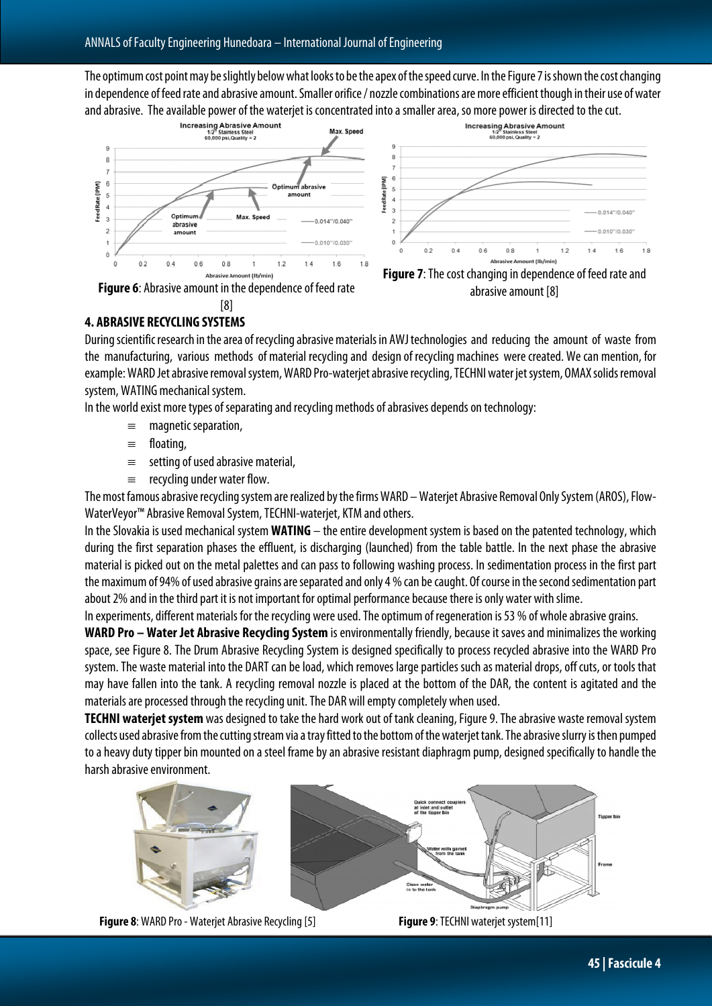The optimum cost point may be slightly below what looks to be the apex of the speed curve. In the Figure 7 is shown the cost changing in dependence of feed rate and abrasive amount. Smaller orifice / nozzle combinations are more efficient though in their use of water







# **4. ABRASIVE RECYCLING SYSTEMS**

During scientific research in the area of recycling abrasive materials in AWJ technologies and reducing the amount of waste from the manufacturing, various methods of material recycling and design of recycling machines were created. We can mention, for example: WARD Jet abrasive removal system, WARD Pro-waterjet abrasive recycling, TECHNI water jet system, OMAX solids removal system, WATING mechanical system.

In the world exist more types of separating and recycling methods of abrasives depends on technology:

- ≡ magnetic separation,
- ≡ floating,
- ≡ setting of used abrasive material,
- $\equiv$  recycling under water flow.

The most famous abrasive recycling system are realized by the firms WARD – Waterjet Abrasive Removal Only System (AROS), Flow-WaterVeyor™ Abrasive Removal System, TECHNI-waterjet, KTM and others.

In the Slovakia is used mechanical system **WATING** – the entire development system is based on the patented technology, which during the first separation phases the effluent, is discharging (launched) from the table battle. In the next phase the abrasive material is picked out on the metal palettes and can pass to following washing process. In sedimentation process in the first part the maximum of 94% of used abrasive grains are separated and only 4 % can be caught. Of course in the second sedimentation part about 2% and in the third part it is not important for optimal performance because there is only water with slime.

In experiments, different materials for the recycling were used. The optimum of regeneration is 53 % of whole abrasive grains.

**WARD Pro – Water Jet Abrasive Recycling System** is environmentally friendly, because it saves and minimalizes the working space, see Figure 8. The Drum Abrasive Recycling System is designed specifically to process recycled abrasive into the WARD Pro system. The waste material into the DART can be load, which removes large particles such as material drops, off cuts, or tools that may have fallen into the tank. A recycling removal nozzle is placed at the bottom of the DAR, the content is agitated and the materials are processed through the recycling unit. The DAR will empty completely when used.

**TECHNI waterjet system**was designed to take the hard work out of tank cleaning, Figure 9. The abrasive waste removal system collects used abrasive from the cutting stream via a tray fitted to the bottom of the waterjet tank. The abrasive slurry is then pumped to a heavy duty tipper bin mounted on a steel frame by an abrasive resistant diaphragm pump, designed specifically to handle the harsh abrasive environment.



**Figure 8**: WARD Pro -Waterjet Abrasive Recycling [5] **Figure <sup>9</sup>**: TECHNI waterjet system[11]



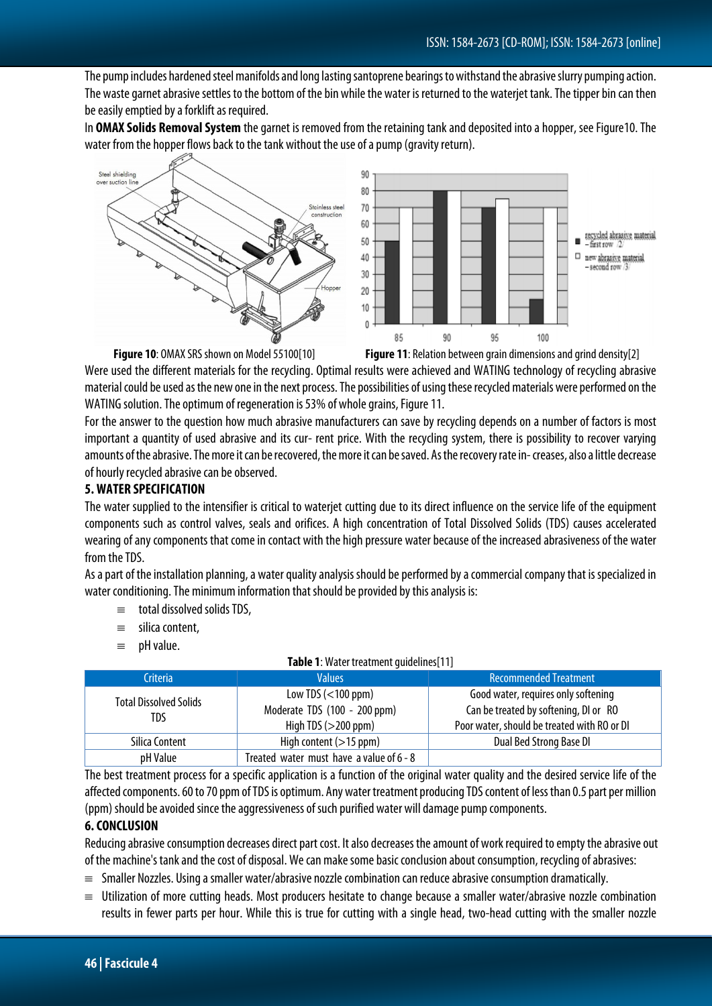The pump includes hardened steel manifolds and long lasting santoprene bearings to withstand the abrasive slurry pumping action. The waste garnet abrasive settles to the bottom of the bin while the water is returned to the waterjet tank. The tipper bin can then be easily emptied by a forklift as required.

In **OMAX Solids Removal System** thegarnet is removed from the retaining tank and deposited into a hopper, see Figure10. The water from the hopper flows back to the tank without the use of a pump (gravity return).



Were used the different materials for the recycling. Optimal results were achieved and WATING technology of recycling abrasive material could be used as the new one in the next process. The possibilities of using these recycled materials were performed on the WATING solution. The optimum of regeneration is 53% of whole grains, Figure 11.

For the answer to the question how much abrasive manufacturers can save by recycling depends on a number of factors is most important a quantity of used abrasive and its cur- rent price. With the recycling system, there is possibility to recover varying amounts of the abrasive. The more it can be recovered, the more it can be saved. As the recovery rate in-creases, also a little decrease of hourly recycled abrasive can be observed.

## **5. WATER SPECIFICATION**

The water supplied to the intensifier is critical to waterjet cutting due to its direct influence on the service life of the equipment components such as control valves, seals and orifices. A high concentration of Total Dissolved Solids (TDS) causes accelerated wearing of any components that come in contact with the high pressure water because of the increased abrasiveness of the water from the TDS.

As a part of the installation planning, a water quality analysis should be performed by a commercial company that is specialized in water conditioning. The minimum information that should be provided by this analysis is:

- $\equiv$  total dissolved solids TDS,
- ≡ silica content,
- ≡ pH value.

| <b>Table 1:</b> Water treatment quidelines [11] |                                                       |                                                                                      |
|-------------------------------------------------|-------------------------------------------------------|--------------------------------------------------------------------------------------|
| Criteria                                        | <b>Values</b>                                         | <b>Recommended Treatment</b>                                                         |
| <b>Total Dissolved Solids</b><br>TDS            | Low TDS $(<$ 100 ppm)                                 | Good water, requires only softening                                                  |
|                                                 | Moderate TDS (100 - 200 ppm)<br>High TDS $(>200$ ppm) | Can be treated by softening, DI or RO<br>Poor water, should be treated with RO or DI |
| Silica Content                                  | High content $(>15$ ppm)                              | Dual Bed Strong Base DI                                                              |
| pH Value                                        | Treated water must have a value of 6 - 8              |                                                                                      |

**Table 11:** Water treatment gas

The best treatment process for a specific application is a function of the original water quality and the desired service life of the affected components. 60 to 70 ppm of TDS is optimum. Any water treatment producing TDS content of less than 0.5 part per million (ppm) should be avoided since the aggressiveness of such purified water will damage pump components.

#### **6. CONCLUSION**

Reducing abrasive consumption decreases direct part cost. It also decreases the amount of work required to empty the abrasive out of the machine's tank and the cost of disposal. We can make some basic conclusion about consumption, recycling of abrasives:

- ≡ Smaller Nozzles. Using a smaller water/abrasive nozzle combination can reduce abrasive consumption dramatically.
- ≡ Utilization of more cutting heads. Most producers hesitate to change because a smaller water/abrasive nozzle combination results in fewer parts per hour. While this is true for cutting with a single head, two-head cutting with the smaller nozzle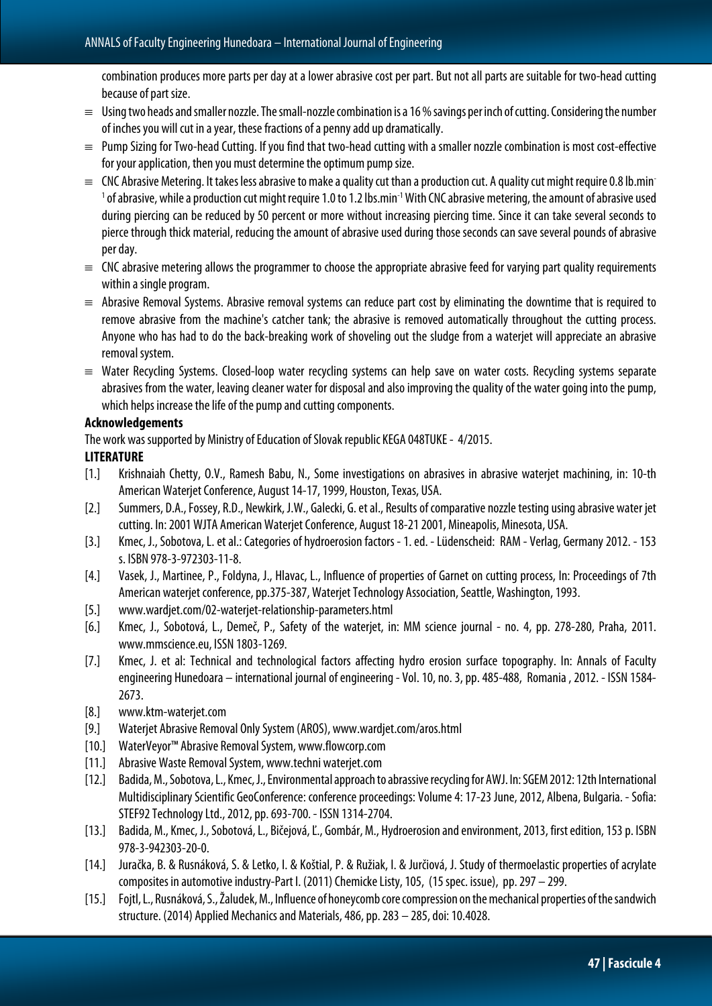combination produces more parts per day at a lower abrasive cost per part. But not all parts are suitable for two-head cutting because of part size.

- $\equiv$  Using two heads and smaller nozzle. The small-nozzle combination is a 16 % savings per inch of cutting. Considering the number of inches you will cut in a year, these fractions of a penny add up dramatically.
- ≡ Pump Sizingfor Two-head Cutting. If you find that two-head cutting with a smaller nozzle combination is most cost-effective for your application, then you must determine the optimum pump size.
- $\equiv$  CNC Abrasive Metering. It takes less abrasive to make a quality cut than a production cut. A quality cut might require 0.8 lb.min-<sup>1</sup> of abrasive, while a production cut might require 1.0 to 1.2 lbs.min<sup>-1</sup> With CNC abrasive metering, the amount of abrasive used during piercing can be reduced by 50 percent or more without increasing piercing time. Since it can take several seconds to pierce through thick material, reducing the amount of abrasive used during those seconds can save several pounds of abrasive per day.
- $\equiv$  CNC abrasive metering allows the programmer to choose the appropriate abrasive feed for varying part quality requirements within a single program.
- ≡ Abrasive Removal Systems. Abrasive removal systems can reduce part cost by eliminating the downtime that is required to remove abrasive from the machine's catcher tank; the abrasive is removed automatically throughout the cutting process. Anyone who has had to do the back-breaking work of shoveling out the sludge from a waterjet will appreciate an abrasive removal system.
- ≡ Water Recycling Systems. Closed-loop water recycling systems can help save on water costs. Recycling systems separate abrasives from the water, leaving cleaner water for disposal and also improving the quality of the water going into the pump, which helps increase the life of the pump and cutting components.

#### **Acknowledgements**

The work was supported by Ministry of Education of Slovak republic KEGA 048TUKE - 4/2015.

#### **LITERATURE**

- [1.] Krishnaiah Chetty, O.V., Ramesh Babu, N., Some investigations on abrasives in abrasive waterjet machining, in: 10-th American Waterjet Conference, August 14-17,1999, Houston, Texas, USA.
- [2.] Summers, D.A.,Fossey, R.D., Newkirk, J.W., Galecki, G. et al., Results of comparative nozzle testing using abrasive water jet cutting. In: 2001 WJTA American Waterjet Conference, August 18-21 2001, Mineapolis, Minesota, USA.
- [3.] Kmec, J.,Sobotova, L. et al.: Categories of hydroerosion factors -1. ed. -Lüdenscheid: RAM Verlag, Germany 2012. -153 s. ISBN 978-3-972303-11-8.
- [4.] Vasek, J., Martinee, P., Foldyna, J., Hlavac, L., Influence of properties of Garnet on cutting process, In: Proceedings of 7th American waterjet conference, pp.375-387, Waterjet Technology Association, Seattle, Washington, 1993.
- [5.] [www.wardjet.com/02-waterjet-relationship-parameters.html](http://www.wardjet.com/02-waterjet-relationship-parameters.html)
- [6.] Kmec, J., Sobotová, L., Demeč, P., Safety of the waterjet, in: MM science journal no. 4, pp. 278-280, Praha, 2011. www.mmscience.eu, ISSN 1803-1269.
- [7.] Kmec, J. et al: Technical and technological factors affecting hydro erosion surface topography. In: Annals of Faculty engineering Hunedoara – international journal of engineering - Vol. 10, no. 3, pp. 485-488, Romania ,2012. - ISSN 1584- 2673.
- [8.] [www.ktm-waterjet.com](http://www.ktm-waterjet.com/)
- [9.] Waterjet Abrasive Removal Only System (AROS)[, www.wardjet.com/aros.html](http://www.wardjet.com/aros.html)
- [10.] WaterVeyor™ Abrasive Removal System[, www.flowcorp.com](http://www.flowcorp.com/)
- [11.] Abrasive Waste Removal System, www.techni waterjet.com
- [12.] Badida, M.,Sobotova, L., Kmec, J.,Environmental approach to abrassive recycling for AWJ. In: SGEM 2012: 12th International Multidisciplinary Scientific GeoConference: conference proceedings: Volume 4: 17-23 June, 2012, Albena, Bulgaria. -Sofia: STEF92 Technology Ltd., 2012,pp. 693-700. - ISSN 1314-2704.
- [13.] Badida, M., Kmec, J.,Sobotová, L., Bičejová, Ľ., Gombár, M., Hydroerosion and environment, 2013, first edition, 153 p. ISBN 978-3-942303-20-0.
- [14.] Juračka, B. & Rusnáková, S. & Letko, I. & Koštial,P. & Ružiak, I. & Jurčiová, J. Study of thermoelastic properties of acrylate composites in automotive industry-Part I. (2011) Chemicke Listy,105, (15 spec. issue), pp. 297 – 299.
- [15.] Fojtl, L., Rusnáková, S.,Žaludek, M., Influence of honeycomb core compression on the mechanical properties of thesandwich structure. (2014) Applied Mechanics and Materials,486,pp. 283 – 285,doi: 10.4028.